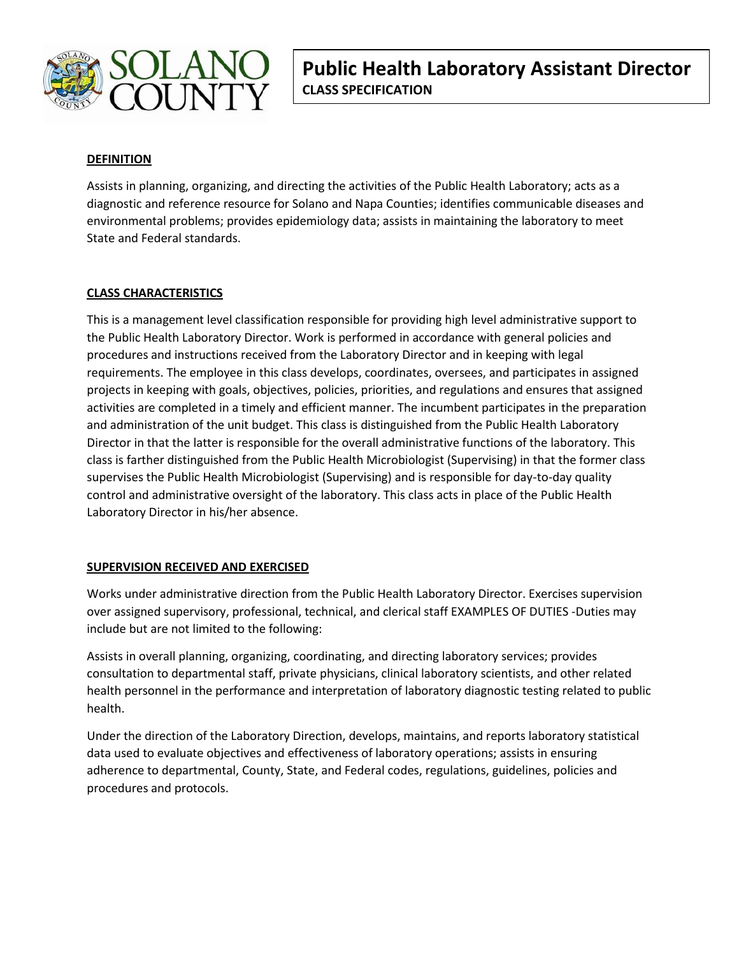

## **DEFINITION**

Assists in planning, organizing, and directing the activities of the Public Health Laboratory; acts as a diagnostic and reference resource for Solano and Napa Counties; identifies communicable diseases and environmental problems; provides epidemiology data; assists in maintaining the laboratory to meet State and Federal standards.

## **CLASS CHARACTERISTICS**

This is a management level classification responsible for providing high level administrative support to the Public Health Laboratory Director. Work is performed in accordance with general policies and procedures and instructions received from the Laboratory Director and in keeping with legal requirements. The employee in this class develops, coordinates, oversees, and participates in assigned projects in keeping with goals, objectives, policies, priorities, and regulations and ensures that assigned activities are completed in a timely and efficient manner. The incumbent participates in the preparation and administration of the unit budget. This class is distinguished from the Public Health Laboratory Director in that the latter is responsible for the overall administrative functions of the laboratory. This class is farther distinguished from the Public Health Microbiologist (Supervising) in that the former class supervises the Public Health Microbiologist (Supervising) and is responsible for day-to-day quality control and administrative oversight of the laboratory. This class acts in place of the Public Health Laboratory Director in his/her absence.

## **SUPERVISION RECEIVED AND EXERCISED**

Works under administrative direction from the Public Health Laboratory Director. Exercises supervision over assigned supervisory, professional, technical, and clerical staff EXAMPLES OF DUTIES -Duties may include but are not limited to the following:

Assists in overall planning, organizing, coordinating, and directing laboratory services; provides consultation to departmental staff, private physicians, clinical laboratory scientists, and other related health personnel in the performance and interpretation of laboratory diagnostic testing related to public health.

Under the direction of the Laboratory Direction, develops, maintains, and reports laboratory statistical data used to evaluate objectives and effectiveness of laboratory operations; assists in ensuring adherence to departmental, County, State, and Federal codes, regulations, guidelines, policies and procedures and protocols.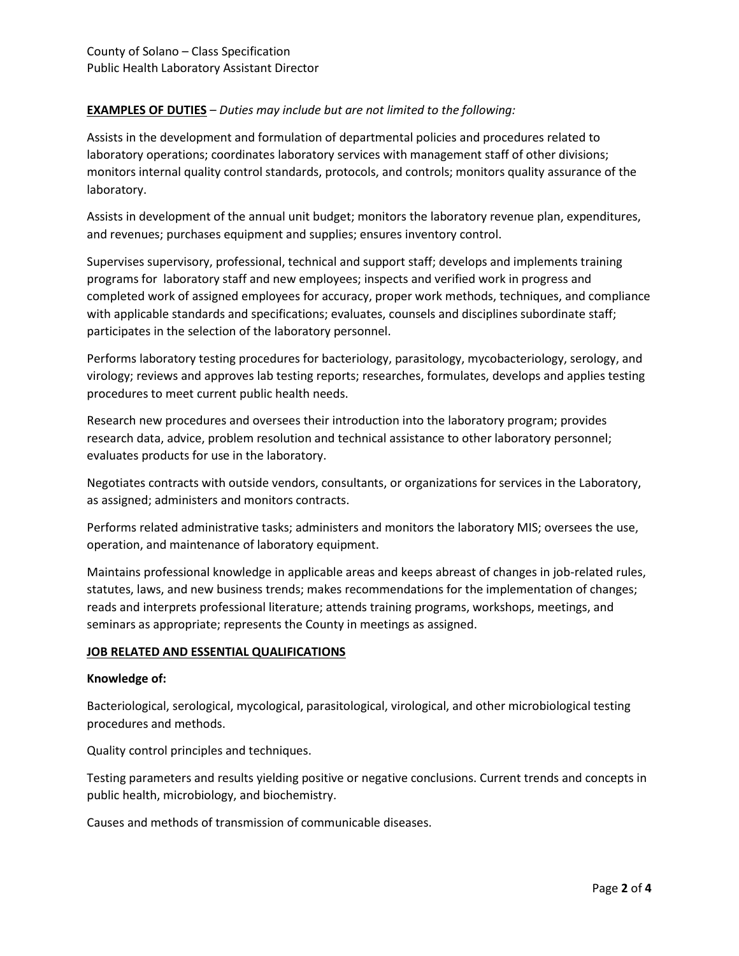# **EXAMPLES OF DUTIES** – *Duties may include but are not limited to the following:*

Assists in the development and formulation of departmental policies and procedures related to laboratory operations; coordinates laboratory services with management staff of other divisions; monitors internal quality control standards, protocols, and controls; monitors quality assurance of the laboratory.

Assists in development of the annual unit budget; monitors the laboratory revenue plan, expenditures, and revenues; purchases equipment and supplies; ensures inventory control.

Supervises supervisory, professional, technical and support staff; develops and implements training programs for laboratory staff and new employees; inspects and verified work in progress and completed work of assigned employees for accuracy, proper work methods, techniques, and compliance with applicable standards and specifications; evaluates, counsels and disciplines subordinate staff; participates in the selection of the laboratory personnel.

Performs laboratory testing procedures for bacteriology, parasitology, mycobacteriology, serology, and virology; reviews and approves lab testing reports; researches, formulates, develops and applies testing procedures to meet current public health needs.

Research new procedures and oversees their introduction into the laboratory program; provides research data, advice, problem resolution and technical assistance to other laboratory personnel; evaluates products for use in the laboratory.

Negotiates contracts with outside vendors, consultants, or organizations for services in the Laboratory, as assigned; administers and monitors contracts.

Performs related administrative tasks; administers and monitors the laboratory MIS; oversees the use, operation, and maintenance of laboratory equipment.

Maintains professional knowledge in applicable areas and keeps abreast of changes in job-related rules, statutes, laws, and new business trends; makes recommendations for the implementation of changes; reads and interprets professional literature; attends training programs, workshops, meetings, and seminars as appropriate; represents the County in meetings as assigned.

### **JOB RELATED AND ESSENTIAL QUALIFICATIONS**

### **Knowledge of:**

Bacteriological, serological, mycological, parasitological, virological, and other microbiological testing procedures and methods.

Quality control principles and techniques.

Testing parameters and results yielding positive or negative conclusions. Current trends and concepts in public health, microbiology, and biochemistry.

Causes and methods of transmission of communicable diseases.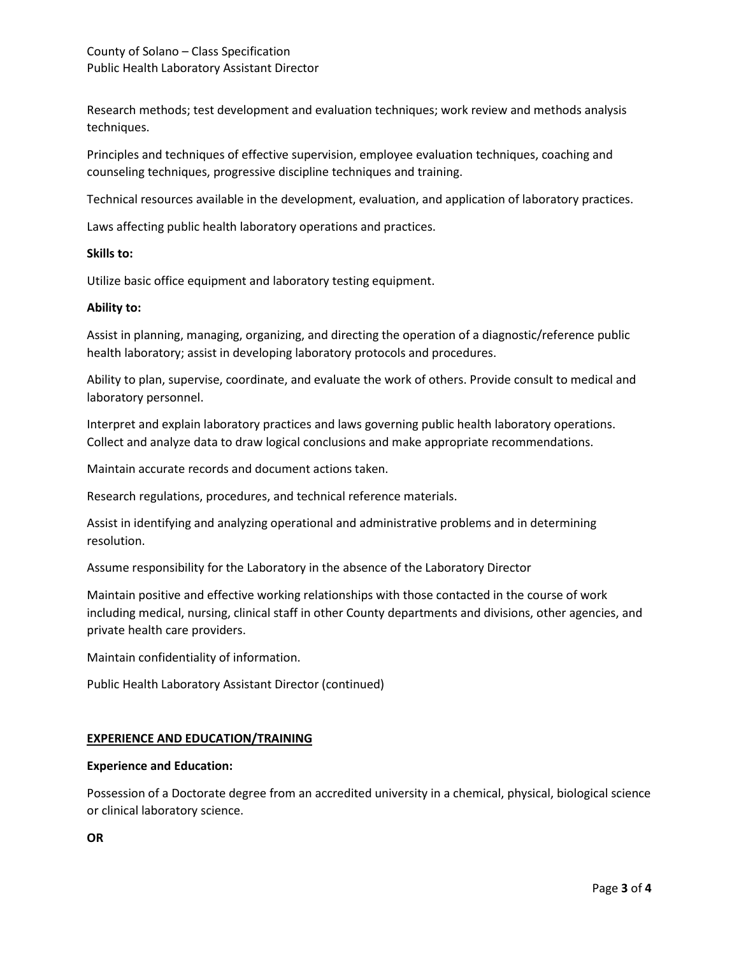Research methods; test development and evaluation techniques; work review and methods analysis techniques.

Principles and techniques of effective supervision, employee evaluation techniques, coaching and counseling techniques, progressive discipline techniques and training.

Technical resources available in the development, evaluation, and application of laboratory practices.

Laws affecting public health laboratory operations and practices.

## **Skills to:**

Utilize basic office equipment and laboratory testing equipment.

## **Ability to:**

Assist in planning, managing, organizing, and directing the operation of a diagnostic/reference public health laboratory; assist in developing laboratory protocols and procedures.

Ability to plan, supervise, coordinate, and evaluate the work of others. Provide consult to medical and laboratory personnel.

Interpret and explain laboratory practices and laws governing public health laboratory operations. Collect and analyze data to draw logical conclusions and make appropriate recommendations.

Maintain accurate records and document actions taken.

Research regulations, procedures, and technical reference materials.

Assist in identifying and analyzing operational and administrative problems and in determining resolution.

Assume responsibility for the Laboratory in the absence of the Laboratory Director

Maintain positive and effective working relationships with those contacted in the course of work including medical, nursing, clinical staff in other County departments and divisions, other agencies, and private health care providers.

Maintain confidentiality of information.

Public Health Laboratory Assistant Director (continued)

### **EXPERIENCE AND EDUCATION/TRAINING**

### **Experience and Education:**

Possession of a Doctorate degree from an accredited university in a chemical, physical, biological science or clinical laboratory science.

**OR**